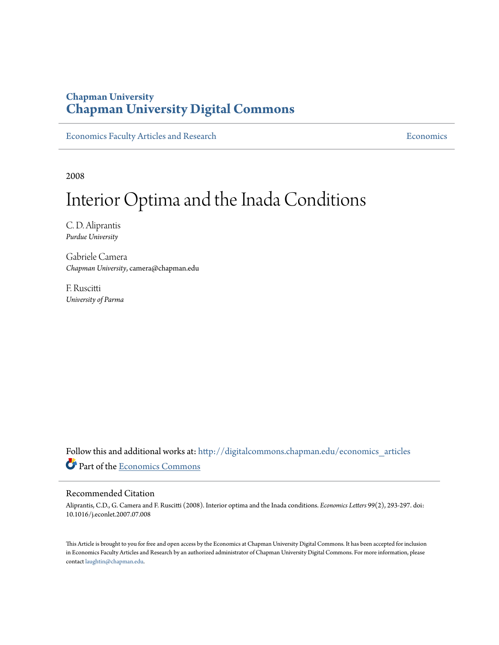### **Chapman University [Chapman University Digital Commons](http://digitalcommons.chapman.edu?utm_source=digitalcommons.chapman.edu%2Feconomics_articles%2F83&utm_medium=PDF&utm_campaign=PDFCoverPages)**

[Economics Faculty Articles and Research](http://digitalcommons.chapman.edu/economics_articles?utm_source=digitalcommons.chapman.edu%2Feconomics_articles%2F83&utm_medium=PDF&utm_campaign=PDFCoverPages) **[Economics](http://digitalcommons.chapman.edu/economics?utm_source=digitalcommons.chapman.edu%2Feconomics_articles%2F83&utm_medium=PDF&utm_campaign=PDFCoverPages)** Economics

2008

# Interior Optima and the Inada Conditions

C. D. Aliprantis *Purdue University*

Gabriele Camera *Chapman University*, camera@chapman.edu

F. Ruscitti *University of Parma*

Follow this and additional works at: [http://digitalcommons.chapman.edu/economics\\_articles](http://digitalcommons.chapman.edu/economics_articles?utm_source=digitalcommons.chapman.edu%2Feconomics_articles%2F83&utm_medium=PDF&utm_campaign=PDFCoverPages) Part of the [Economics Commons](http://network.bepress.com/hgg/discipline/340?utm_source=digitalcommons.chapman.edu%2Feconomics_articles%2F83&utm_medium=PDF&utm_campaign=PDFCoverPages)

#### Recommended Citation

Aliprantis, C.D., G. Camera and F. Ruscitti (2008). Interior optima and the Inada conditions. *Economics Letters* 99(2), 293-297. doi: 10.1016/j.econlet.2007.07.008

This Article is brought to you for free and open access by the Economics at Chapman University Digital Commons. It has been accepted for inclusion in Economics Faculty Articles and Research by an authorized administrator of Chapman University Digital Commons. For more information, please contact [laughtin@chapman.edu](mailto:laughtin@chapman.edu).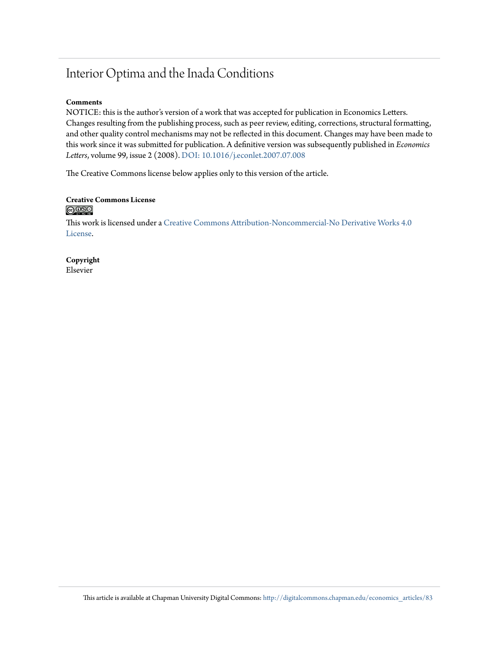## Interior Optima and the Inada Conditions

#### **Comments**

NOTICE: this is the author's version of a work that was accepted for publication in Economics Letters. Changes resulting from the publishing process, such as peer review, editing, corrections, structural formatting, and other quality control mechanisms may not be reflected in this document. Changes may have been made to this work since it was submitted for publication. A definitive version was subsequently published in *Economics Letters*, volume 99, issue 2 (2008). [DOI: 10.1016/j.econlet.2007.07.008](http://dx.doi.org/10.1016/j.econlet.2007.07.008)

The Creative Commons license below applies only to this version of the article.

#### **Creative Commons License**  $\bigcirc$   $\circ$

This work is licensed under a [Creative Commons Attribution-Noncommercial-No Derivative Works 4.0](http://creativecommons.org/licenses/by-nc-nd/4.0/) [License.](http://creativecommons.org/licenses/by-nc-nd/4.0/)

**Copyright** Elsevier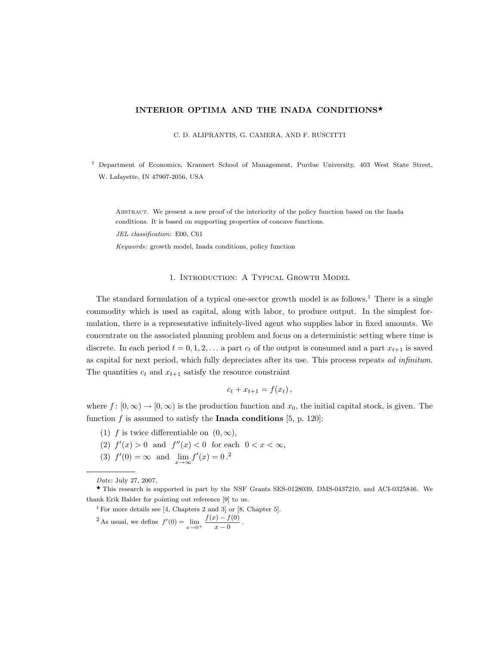#### INTERIOR OPTIMA AND THE INADA CONDITIONS\*

C. D. ALIPRANTIS, G. CAMERA, AND F. RUSCITTI

† Department of Economics, Krannert School of Management, Purdue University, 403 West State Street, W. Lafayette, IN 47907-2056, USA

ABSTRACT. We present a new proof of the interiority of the policy function based on the Inada conditions. It is based on supporting properties of concave functions.

JEL classification: E00, C61

Keywords: growth model, Inada conditions, policy function

#### 1. Introduction: A Typical Growth Model

The standard formulation of a typical one-sector growth model is as follows.<sup>1</sup> There is a single commodity which is used as capital, along with labor, to produce output. In the simplest formulation, there is a representative infinitely-lived agent who supplies labor in fixed amounts. We concentrate on the associated planning problem and focus on a deterministic setting where time is discrete. In each period  $t = 0, 1, 2, \ldots$  a part  $c_t$  of the output is consumed and a part  $x_{t+1}$  is saved as capital for next period, which fully depreciates after its use. This process repeats ad infinitum. The quantities  $c_t$  and  $x_{t+1}$  satisfy the resource constraint

$$
c_t + x_{t+1} = f(x_t),
$$

where  $f : [0, \infty) \to [0, \infty)$  is the production function and  $x_0$ , the initial capital stock, is given. The function  $f$  is assumed to satisfy the **Inada conditions** [5, p. 120]:

- (1) f is twice differentiable on  $(0, \infty)$ ,
- (2)  $f'(x) > 0$  and  $f''(x) < 0$  for each  $0 < x < \infty$ ,
- (3)  $f'(0) = \infty$  and  $\lim_{x \to \infty} f'(x) = 0^2$ .

<sup>1</sup> For more details see [4, Chapters 2 and 3] or [8, Chapter 5]. <sup>2</sup> As usual, we define  $f'(0) = \lim_{x \to 0^+}$  $f(x) - f(0)$  $\frac{y}{x-0}$ .

Date: July 27, 2007.

 $\star$  This research is supported in part by the NSF Grants SES-0128039, DMS-0437210, and ACI-0325846. We thank Erik Balder for pointing out reference [9] to us.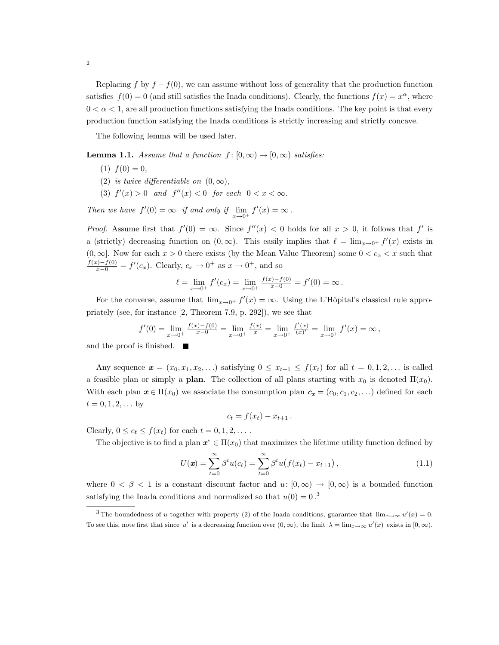Replacing f by  $f - f(0)$ , we can assume without loss of generality that the production function satisfies  $f(0) = 0$  (and still satisfies the Inada conditions). Clearly, the functions  $f(x) = x^{\alpha}$ , where  $0 < \alpha < 1$ , are all production functions satisfying the Inada conditions. The key point is that every production function satisfying the Inada conditions is strictly increasing and strictly concave.

The following lemma will be used later.

**Lemma 1.1.** Assume that a function  $f : [0, \infty) \to [0, \infty)$  satisfies:

- $(1) f(0) = 0,$
- (2) is twice differentiable on  $(0, \infty)$ ,
- (3)  $f'(x) > 0$  and  $f''(x) < 0$  for each  $0 < x < \infty$ .

Then we have  $f'(0) = \infty$  if and only if  $\lim_{x \to 0^+} f'(x) = \infty$ .

*Proof.* Assume first that  $f'(0) = \infty$ . Since  $f''(x) < 0$  holds for all  $x > 0$ , it follows that  $f'$  is a (strictly) decreasing function on  $(0, \infty)$ . This easily implies that  $\ell = \lim_{x\to 0^+} f'(x)$  exists in  $(0, \infty]$ . Now for each  $x > 0$  there exists (by the Mean Value Theorem) some  $0 < c_x < x$  such that  $\frac{f(x)-f(0)}{x-0} = f'(c_x)$ . Clearly,  $c_x \to 0^+$  as  $x \to 0^+$ , and so

$$
\ell = \lim_{x \to 0^+} f'(c_x) = \lim_{x \to 0^+} \frac{f(x) - f(0)}{x - 0} = f'(0) = \infty.
$$

For the converse, assume that  $\lim_{x\to 0^+} f'(x) = \infty$ . Using the L'Hôpital's classical rule appropriately (see, for instance [2, Theorem 7.9, p. 292]), we see that

$$
f'(0) = \lim_{x \to 0^+} \frac{f(x) - f(0)}{x - 0} = \lim_{x \to 0^+} \frac{f(x)}{x} = \lim_{x \to 0^+} \frac{f'(x)}{(x)'} = \lim_{x \to 0^+} f'(x) = \infty,
$$

and the proof is finished.

Any sequence  $\mathbf{x} = (x_0, x_1, x_2, \ldots)$  satisfying  $0 \le x_{t+1} \le f(x_t)$  for all  $t = 0, 1, 2, \ldots$  is called a feasible plan or simply a **plan**. The collection of all plans starting with  $x_0$  is denoted  $\Pi(x_0)$ . With each plan  $x \in \Pi(x_0)$  we associate the consumption plan  $c_x = (c_0, c_1, c_2, \ldots)$  defined for each  $t = 0, 1, 2, \dots$  by

$$
c_t = f(x_t) - x_{t+1}.
$$

Clearly,  $0 \leq c_t \leq f(x_t)$  for each  $t = 0, 1, 2, \ldots$ .

The objective is to find a plan  $x^* \in \Pi(x_0)$  that maximizes the lifetime utility function defined by

$$
U(\mathbf{x}) = \sum_{t=0}^{\infty} \beta^t u(c_t) = \sum_{t=0}^{\infty} \beta^t u(f(x_t) - x_{t+1}), \qquad (1.1)
$$

where  $0 < \beta < 1$  is a constant discount factor and  $u: [0, \infty) \to [0, \infty)$  is a bounded function satisfying the Inada conditions and normalized so that  $u(0) = 0^{3}$ .

<sup>&</sup>lt;sup>3</sup>The boundedness of u together with property (2) of the Inada conditions, guarantee that  $\lim_{x\to\infty} u'(x) = 0$ . To see this, note first that since u' is a decreasing function over  $(0, \infty)$ , the limit  $\lambda = \lim_{x \to \infty} u'(x)$  exists in  $[0, \infty)$ .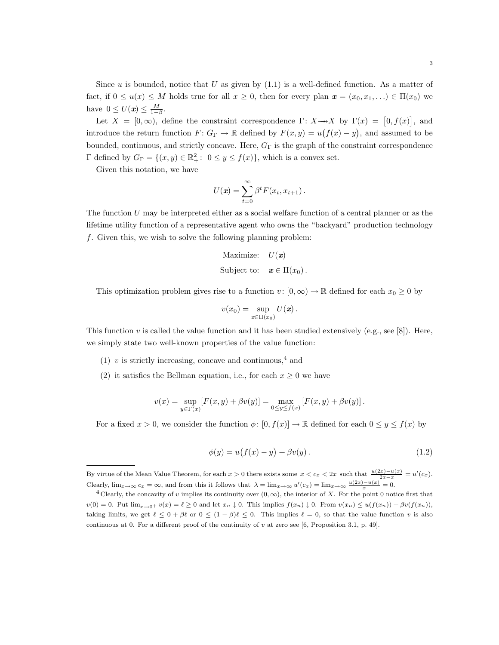Since  $u$  is bounded, notice that  $U$  as given by  $(1.1)$  is a well-defined function. As a matter of fact, if  $0 \le u(x) \le M$  holds true for all  $x \ge 0$ , then for every plan  $\mathbf{x} = (x_0, x_1, \ldots) \in \Pi(x_0)$  we have  $0 \leq U(\boldsymbol{x}) \leq \frac{M}{1-\beta}$ .

Let  $X = [0, \infty)$ , define the constraint correspondence  $\Gamma: X \rightarrow X$  by  $\Gamma(x) = [0, f(x)]$ , and introduce the return function  $F: G_{\Gamma} \to \mathbb{R}$  defined by  $F(x, y) = u(f(x) - y)$ , and assumed to be bounded, continuous, and strictly concave. Here,  $G_{\Gamma}$  is the graph of the constraint correspondence  $\Gamma$  defined by  $G_{\Gamma} = \{(x, y) \in \mathbb{R}^2_+ : 0 \le y \le f(x)\},\$  which is a convex set.

Given this notation, we have

$$
U(\mathbf{x}) = \sum_{t=0}^{\infty} \beta^t F(x_t, x_{t+1}).
$$

The function  $U$  may be interpreted either as a social welfare function of a central planner or as the lifetime utility function of a representative agent who owns the "backyard" production technology f. Given this, we wish to solve the following planning problem:

Maximize: 
$$
U(\mathbf{x})
$$
  
Subject to:  $\mathbf{x} \in \Pi(x_0)$ .

This optimization problem gives rise to a function  $v: [0, \infty) \to \mathbb{R}$  defined for each  $x_0 \geq 0$  by

$$
v(x_0)=\sup_{\mathbf{x}\in\Pi(x_0)}U(\mathbf{x}).
$$

This function v is called the value function and it has been studied extensively (e.g., see [8]). Here, we simply state two well-known properties of the value function:

- (1) v is strictly increasing, concave and continuous,<sup>4</sup> and
- (2) it satisfies the Bellman equation, i.e., for each  $x \geq 0$  we have

$$
v(x) = \sup_{y \in \Gamma(x)} \left[ F(x, y) + \beta v(y) \right] = \max_{0 \le y \le f(x)} \left[ F(x, y) + \beta v(y) \right].
$$

For a fixed  $x > 0$ , we consider the function  $\phi: [0, f(x)] \to \mathbb{R}$  defined for each  $0 \le y \le f(x)$  by

$$
\phi(y) = u(f(x) - y) + \beta v(y). \tag{1.2}
$$

By virtue of the Mean Value Theorem, for each  $x > 0$  there exists some  $x < c_x < 2x$  such that  $\frac{u(2x) - u(x)}{2x - x} = u'(c_x)$ . Clearly,  $\lim_{x\to\infty} c_x = \infty$ , and from this it follows that  $\lambda = \lim_{x\to\infty} u'(c_x) = \lim_{x\to\infty} \frac{u(2x) - u(x)}{x} = 0$ .

<sup>&</sup>lt;sup>4</sup> Clearly, the concavity of v implies its continuity over  $(0, \infty)$ , the interior of X. For the point 0 notice first that  $v(0) = 0$ . Put  $\lim_{x\to 0^+} v(x) = \ell \ge 0$  and let  $x_n \downarrow 0$ . This implies  $f(x_n) \downarrow 0$ . From  $v(x_n) \le u(f(x_n)) + \beta v(f(x_n))$ , taking limits, we get  $\ell \le 0 + \beta \ell$  or  $0 \le (1 - \beta)\ell \le 0$ . This implies  $\ell = 0$ , so that the value function v is also continuous at 0. For a different proof of the continuity of  $v$  at zero see [6, Proposition 3.1, p. 49].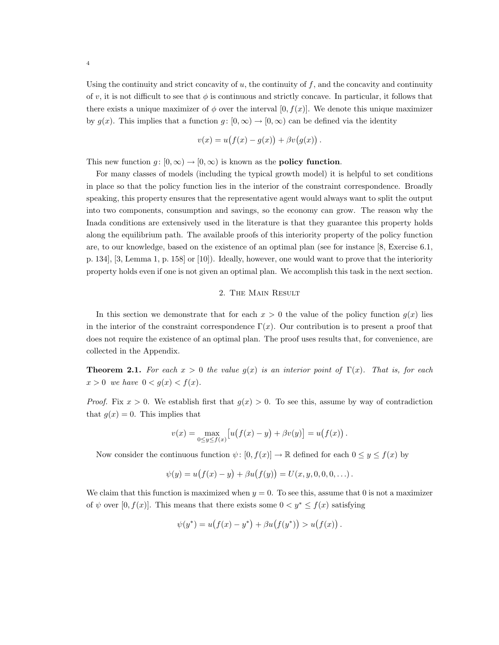Using the continuity and strict concavity of  $u$ , the continuity of  $f$ , and the concavity and continuity of v, it is not difficult to see that  $\phi$  is continuous and strictly concave. In particular, it follows that there exists a unique maximizer of  $\phi$  over the interval [0,  $f(x)$ ]. We denote this unique maximizer by  $g(x)$ . This implies that a function  $g : [0, \infty) \to [0, \infty)$  can be defined via the identity

$$
v(x) = u(f(x) - g(x)) + \beta v(g(x))
$$

.

This new function  $g: [0, \infty) \to [0, \infty)$  is known as the **policy function**.

For many classes of models (including the typical growth model) it is helpful to set conditions in place so that the policy function lies in the interior of the constraint correspondence. Broadly speaking, this property ensures that the representative agent would always want to split the output into two components, consumption and savings, so the economy can grow. The reason why the Inada conditions are extensively used in the literature is that they guarantee this property holds along the equilibrium path. The available proofs of this interiority property of the policy function are, to our knowledge, based on the existence of an optimal plan (see for instance [8, Exercise 6.1, p. 134], [3, Lemma 1, p. 158] or [10]). Ideally, however, one would want to prove that the interiority property holds even if one is not given an optimal plan. We accomplish this task in the next section.

#### 2. The Main Result

In this section we demonstrate that for each  $x > 0$  the value of the policy function  $q(x)$  lies in the interior of the constraint correspondence  $\Gamma(x)$ . Our contribution is to present a proof that does not require the existence of an optimal plan. The proof uses results that, for convenience, are collected in the Appendix.

**Theorem 2.1.** For each  $x > 0$  the value  $g(x)$  is an interior point of  $\Gamma(x)$ . That is, for each  $x > 0$  we have  $0 < g(x) < f(x)$ .

*Proof.* Fix  $x > 0$ . We establish first that  $g(x) > 0$ . To see this, assume by way of contradiction that  $g(x) = 0$ . This implies that

$$
v(x) = \max_{0 \le y \le f(x)} [u(f(x) - y) + \beta v(y)] = u(f(x)).
$$

Now consider the continuous function  $\psi: [0, f(x)] \to \mathbb{R}$  defined for each  $0 \le y \le f(x)$  by

$$
\psi(y) = u(f(x) - y) + \beta u(f(y)) = U(x, y, 0, 0, 0, ...).
$$

We claim that this function is maximized when  $y = 0$ . To see this, assume that 0 is not a maximizer of  $\psi$  over [0,  $f(x)$ ]. This means that there exists some  $0 < y^* \le f(x)$  satisfying

$$
\psi(y^*) = u(f(x) - y^*) + \beta u(f(y^*)) > u(f(x)).
$$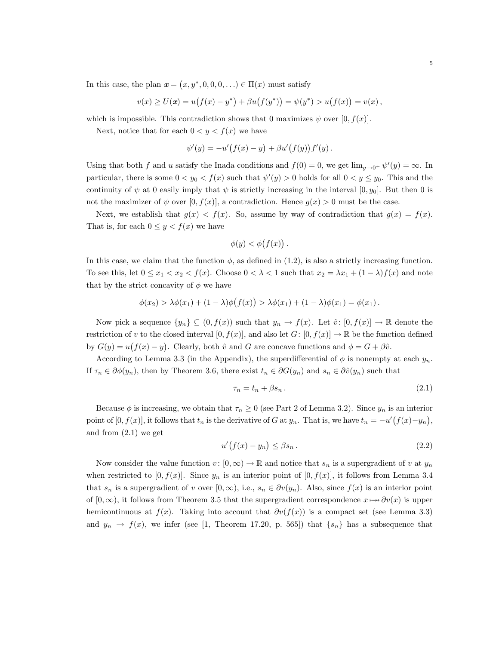In this case, the plan  $\mathbf{x} = (x, y^*, 0, 0, 0, ...) \in \Pi(x)$  must satisfy

$$
v(x) \ge U(\mathbf{x}) = u(f(x) - y^*) + \beta u(f(y^*)) = \psi(y^*) > u(f(x)) = v(x),
$$

which is impossible. This contradiction shows that 0 maximizes  $\psi$  over [0,  $f(x)$ ].

Next, notice that for each  $0 < y < f(x)$  we have

$$
\psi'(y) = -u'(f(x) - y) + \beta u'(f(y))f'(y).
$$

Using that both f and u satisfy the Inada conditions and  $f(0) = 0$ , we get  $\lim_{y\to 0^+} \psi'(y) = \infty$ . In particular, there is some  $0 < y_0 < f(x)$  such that  $\psi'(y) > 0$  holds for all  $0 < y \leq y_0$ . This and the continuity of  $\psi$  at 0 easily imply that  $\psi$  is strictly increasing in the interval [0, y<sub>0</sub>]. But then 0 is not the maximizer of  $\psi$  over  $[0, f(x)]$ , a contradiction. Hence  $g(x) > 0$  must be the case.

Next, we establish that  $g(x) < f(x)$ . So, assume by way of contradiction that  $g(x) = f(x)$ . That is, for each  $0 \leq y < f(x)$  we have

$$
\phi(y) < \phi(f(x)) \, .
$$

In this case, we claim that the function  $\phi$ , as defined in (1.2), is also a strictly increasing function. To see this, let  $0 \le x_1 < x_2 < f(x)$ . Choose  $0 < \lambda < 1$  such that  $x_2 = \lambda x_1 + (1 - \lambda)f(x)$  and note that by the strict concavity of  $\phi$  we have

$$
\phi(x_2) > \lambda \phi(x_1) + (1 - \lambda)\phi(f(x)) > \lambda \phi(x_1) + (1 - \lambda)\phi(x_1) = \phi(x_1).
$$

Now pick a sequence  $\{y_n\} \subseteq (0, f(x))$  such that  $y_n \to f(x)$ . Let  $\hat{v} : [0, f(x)] \to \mathbb{R}$  denote the restriction of v to the closed interval  $[0, f(x)]$ , and also let  $G: [0, f(x)] \to \mathbb{R}$  be the function defined by  $G(y) = u(f(x) - y)$ . Clearly, both  $\hat{v}$  and G are concave functions and  $\phi = G + \beta \hat{v}$ .

According to Lemma 3.3 (in the Appendix), the superdifferential of  $\phi$  is nonempty at each  $y_n$ . If  $\tau_n \in \partial \phi(y_n)$ , then by Theorem 3.6, there exist  $t_n \in \partial G(y_n)$  and  $s_n \in \partial \hat{v}(y_n)$  such that

$$
\tau_n = t_n + \beta s_n. \tag{2.1}
$$

Because  $\phi$  is increasing, we obtain that  $\tau_n \geq 0$  (see Part 2 of Lemma 3.2). Since  $y_n$  is an interior point of  $[0, f(x)]$ , it follows that  $t_n$  is the derivative of G at  $y_n$ . That is, we have  $t_n = -u'(f(x)-y_n)$ , and from (2.1) we get

$$
u'(f(x) - y_n) \le \beta s_n. \tag{2.2}
$$

Now consider the value function  $v : [0, \infty) \to \mathbb{R}$  and notice that  $s_n$  is a supergradient of v at  $y_n$ when restricted to  $[0, f(x)]$ . Since  $y_n$  is an interior point of  $[0, f(x)]$ , it follows from Lemma 3.4 that  $s_n$  is a supergradient of v over  $[0,\infty)$ , i.e.,  $s_n \in \partial v(y_n)$ . Also, since  $f(x)$  is an interior point of  $[0,\infty)$ , it follows from Theorem 3.5 that the supergradient correspondence  $x \mapsto \partial v(x)$  is upper hemicontinuous at  $f(x)$ . Taking into account that  $\partial v(f(x))$  is a compact set (see Lemma 3.3) and  $y_n \to f(x)$ , we infer (see [1, Theorem 17.20, p. 565]) that  $\{s_n\}$  has a subsequence that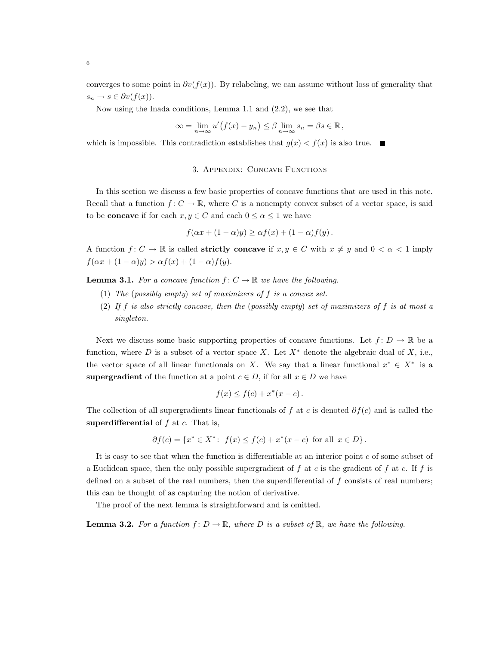converges to some point in  $\partial v(f(x))$ . By relabeling, we can assume without loss of generality that  $s_n \to s \in \partial v(f(x)).$ 

Now using the Inada conditions, Lemma 1.1 and (2.2), we see that

$$
\infty = \lim_{n \to \infty} u'(f(x) - y_n) \leq \beta \lim_{n \to \infty} s_n = \beta s \in \mathbb{R},
$$

which is impossible. This contradiction establishes that  $g(x) < f(x)$  is also true.

#### 3. Appendix: Concave Functions

In this section we discuss a few basic properties of concave functions that are used in this note. Recall that a function  $f: C \to \mathbb{R}$ , where C is a nonempty convex subset of a vector space, is said to be **concave** if for each  $x, y \in C$  and each  $0 \le \alpha \le 1$  we have

$$
f(\alpha x + (1 - \alpha)y) \geq \alpha f(x) + (1 - \alpha)f(y).
$$

A function  $f: C \to \mathbb{R}$  is called **strictly concave** if  $x, y \in C$  with  $x \neq y$  and  $0 < \alpha < 1$  imply  $f(\alpha x + (1 - \alpha)y) > \alpha f(x) + (1 - \alpha)f(y).$ 

**Lemma 3.1.** For a concave function  $f: C \to \mathbb{R}$  we have the following.

- (1) The (possibly empty) set of maximizers of f is a convex set.
- (2) If f is also strictly concave, then the (possibly empty) set of maximizers of f is at most a singleton.

Next we discuss some basic supporting properties of concave functions. Let  $f: D \to \mathbb{R}$  be a function, where D is a subset of a vector space X. Let  $X^*$  denote the algebraic dual of X, i.e., the vector space of all linear functionals on X. We say that a linear functional  $x^* \in X^*$  is a supergradient of the function at a point  $c \in D$ , if for all  $x \in D$  we have

$$
f(x) \le f(c) + x^*(x - c).
$$

The collection of all supergradients linear functionals of f at c is denoted  $\partial f(c)$  and is called the superdifferential of  $f$  at  $c$ . That is,

$$
\partial f(c) = \{x^* \in X^* : f(x) \le f(c) + x^*(x - c) \text{ for all } x \in D\}.
$$

It is easy to see that when the function is differentiable at an interior point  $c$  of some subset of a Euclidean space, then the only possible supergradient of f at c is the gradient of f at c. If f is defined on a subset of the real numbers, then the superdifferential of  $f$  consists of real numbers; this can be thought of as capturing the notion of derivative.

The proof of the next lemma is straightforward and is omitted.

**Lemma 3.2.** For a function  $f: D \to \mathbb{R}$ , where D is a subset of  $\mathbb{R}$ , we have the following.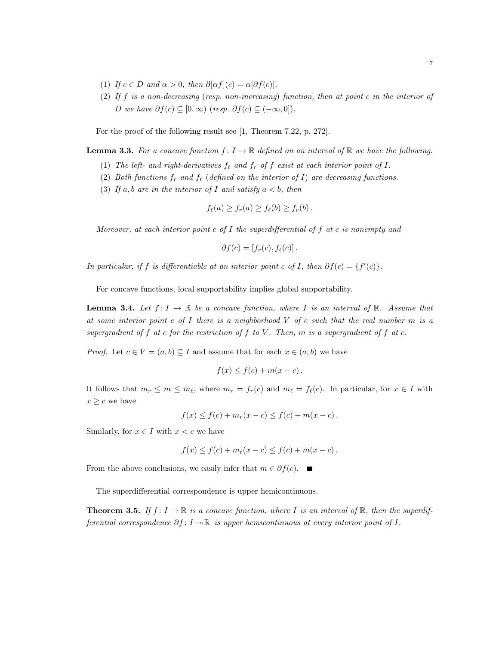- (1) If  $c \in D$  and  $\alpha > 0$ , then  $\partial[\alpha f](c) = \alpha[\partial f(c)]$ .
- (2) If f is a non-decreasing (resp. non-increasing) function, then at point c in the interior of D we have  $\partial f(c) \subseteq [0,\infty)$  (resp.  $\partial f(c) \subseteq (-\infty,0]$ ).

For the proof of the following result see [1, Theorem 7.22, p. 272].

**Lemma 3.3.** For a concave function  $f: I \to \mathbb{R}$  defined on an interval of  $\mathbb{R}$  we have the following.

- (1) The left- and right-derivatives  $f_{\ell}$  and  $f_r$  of  $f$  exist at each interior point of  $I$ .
- (2) Both functions  $f_r$  and  $f_\ell$  (defined on the interior of I) are decreasing functions.
- (3) If a, b are in the interior of I and satisfy  $a < b$ , then

$$
f_{\ell}(a) \ge f_r(a) \ge f_{\ell}(b) \ge f_r(b).
$$

Moreover, at each interior point c of I the superdifferential of f at c is nonempty and

$$
\partial f(c) = [f_r(c), f_{\ell}(c)].
$$

In particular, if f is differentiable at an interior point c of I, then  $\partial f(c) = \{f'(c)\}.$ 

For concave functions, local supportability implies global supportability.

**Lemma 3.4.** Let  $f: I \to \mathbb{R}$  be a concave function, where I is an interval of  $\mathbb{R}$ . Assume that at some interior point c of I there is a neighborhood  $V$  of c such that the real number  $m$  is a supergradient of f at c for the restriction of f to V. Then, m is a supergradient of f at c.

*Proof.* Let  $c \in V = (a, b) \subseteq I$  and assume that for each  $x \in (a, b)$  we have

$$
f(x) \le f(c) + m(x - c).
$$

It follows that  $m_r \le m \le m_\ell$ , where  $m_r = f_r(c)$  and  $m_\ell = f_\ell(c)$ . In particular, for  $x \in I$  with  $x \geq c$  we have

$$
f(x) \le f(c) + m_r(x - c) \le f(c) + m(x - c).
$$

Similarly, for  $x \in I$  with  $x < c$  we have

$$
f(x) \le f(c) + m_{\ell}(x - c) \le f(c) + m(x - c).
$$

From the above conclusions, we easily infer that  $m \in \partial f(c)$ . ■

The superdifferential correspondence is upper hemicontinuous.

**Theorem 3.5.** If  $f: I \to \mathbb{R}$  is a concave function, where I is an interval of  $\mathbb{R}$ , then the superdifferential correspondence  $\partial f: I \to \mathbb{R}$  is upper hemicontinuous at every interior point of I.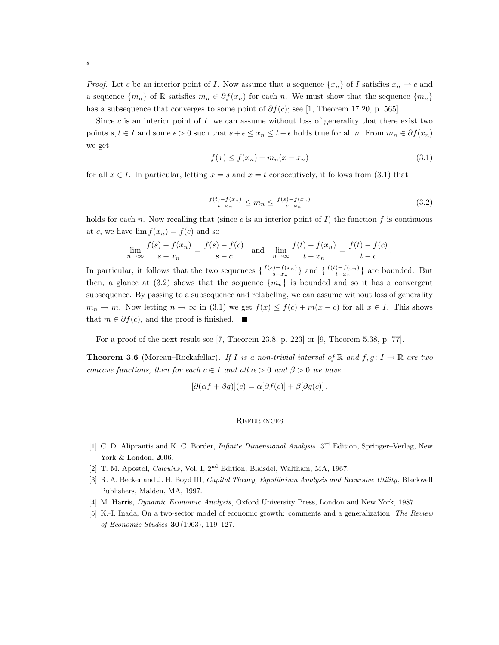*Proof.* Let c be an interior point of I. Now assume that a sequence  $\{x_n\}$  of I satisfies  $x_n \to c$  and a sequence  $\{m_n\}$  of R satisfies  $m_n \in \partial f(x_n)$  for each n. We must show that the sequence  $\{m_n\}$ has a subsequence that converges to some point of  $\partial f(c)$ ; see [1, Theorem 17.20, p. 565].

Since  $c$  is an interior point of  $I$ , we can assume without loss of generality that there exist two points  $s, t \in I$  and some  $\epsilon > 0$  such that  $s + \epsilon \leq x_n \leq t - \epsilon$  holds true for all n. From  $m_n \in \partial f(x_n)$ we get

$$
f(x) \le f(x_n) + m_n(x - x_n) \tag{3.1}
$$

for all  $x \in I$ . In particular, letting  $x = s$  and  $x = t$  consecutively, it follows from (3.1) that

$$
\frac{f(t) - f(x_n)}{t - x_n} \le m_n \le \frac{f(s) - f(x_n)}{s - x_n} \tag{3.2}
$$

holds for each n. Now recalling that (since c is an interior point of  $I$ ) the function f is continuous at c, we have  $\lim f(x_n) = f(c)$  and so

$$
\lim_{n \to \infty} \frac{f(s) - f(x_n)}{s - x_n} = \frac{f(s) - f(c)}{s - c} \text{ and } \lim_{n \to \infty} \frac{f(t) - f(x_n)}{t - x_n} = \frac{f(t) - f(c)}{t - c}.
$$

In particular, it follows that the two sequences  $\frac{f(s)-f(x_n)}{s-x}$  $\frac{(-f(x_n)-f(x_n))}{s-x_n}$ } and  $\frac{f(t)-f(x_n)}{t-x_n}$  $\frac{(-1)^{j-f(x_n)}}{t-x_n}$  are bounded. But then, a glance at (3.2) shows that the sequence  ${m_n}$  is bounded and so it has a convergent subsequence. By passing to a subsequence and relabeling, we can assume without loss of generality  $m_n \to m$ . Now letting  $n \to \infty$  in (3.1) we get  $f(x) \leq f(c) + m(x - c)$  for all  $x \in I$ . This shows that  $m \in \partial f(c)$ , and the proof is finished. ■

For a proof of the next result see [7, Theorem 23.8, p. 223] or [9, Theorem 5.38, p. 77].

**Theorem 3.6** (Moreau–Rockafellar). If I is a non-trivial interval of  $\mathbb{R}$  and  $f, g: I \to \mathbb{R}$  are two concave functions, then for each  $c \in I$  and all  $\alpha > 0$  and  $\beta > 0$  we have

$$
[\partial(\alpha f + \beta g)](c) = \alpha[\partial f(c)] + \beta[\partial g(c)].
$$

#### **REFERENCES**

- [1] C. D. Aliprantis and K. C. Border, *Infinite Dimensional Analysis*, 3<sup>rd</sup> Edition, Springer-Verlag, New York & London, 2006.
- [2] T. M. Apostol, Calculus, Vol. I, 2nd Edition, Blaisdel, Waltham, MA, 1967.
- [3] R. A. Becker and J. H. Boyd III, Capital Theory, Equilibrium Analysis and Recursive Utility, Blackwell Publishers, Malden, MA, 1997.
- [4] M. Harris, Dynamic Economic Analysis, Oxford University Press, London and New York, 1987.
- [5] K.-I. Inada, On a two-sector model of economic growth: comments and a generalization, The Review of Economic Studies 30 (1963), 119–127.